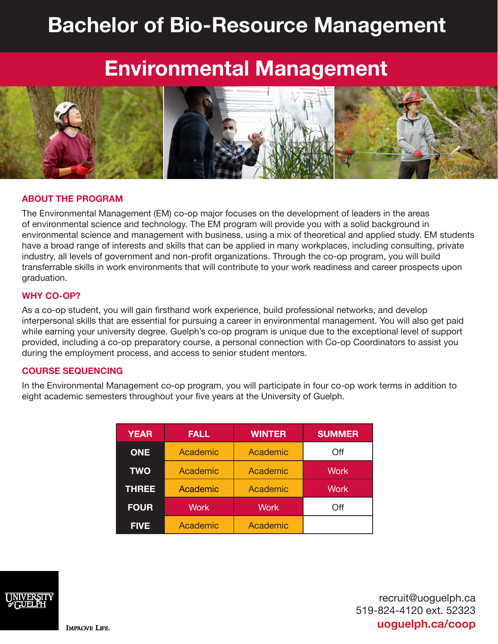# **Bachelor of Bio-Resource Management**

## **Environmental Management**



#### **ABOUT THE PROGRAM**

The Environmental Management (EM) co-op major focuses on the development of leaders in the areas of environmental science and technology. The EM program will provide you with a solid background in environmental science and management with business, using a mix of theoretical and applied study. EM students have a broad range of interests and skills that can be applied in many workplaces, including consulting, private industry, all levels of government and non-profit organizations. Through the co-op program, you will build transferrable skills in work environments that will contribute to your work readiness and career prospects upon graduation.

#### **WHY CO-OP?**

As a co-op student, you will gain firsthand work experience, build professional networks, and develop interpersonal skills that are essential for pursuing a career in environmental management. You will also get paid while earning your university degree. Guelph's co-op program is unique due to the exceptional level of support provided, including a co-op preparatory course, a personal connection with Co-op Coordinators to assist you during the employment process, and access to senior student mentors.

#### **COURSE SEQUENCING**

In the Environmental Management co-op program, you will participate in four co-op work terms in addition to eight academic semesters throughout your five years at the University of Guelph.

| <b>YEAR</b>  | <b>FALL</b>     | <b>WINTER</b> | <b>SUMMER</b> |
|--------------|-----------------|---------------|---------------|
| <b>ONE</b>   | Academic        | Academic      | Off           |
| <b>TWO</b>   | Academic        | Academic      | <b>Work</b>   |
| <b>THREE</b> | <b>Academic</b> | Academic      | <b>Work</b>   |
| <b>FOUR</b>  | <b>Work</b>     | <b>Work</b>   | Off           |
| <b>FIVE</b>  | Academic        | Academic      |               |



recruit@uoguelph.ca 519-824-4120 ext. 52323 **uoguelph.ca/coop**